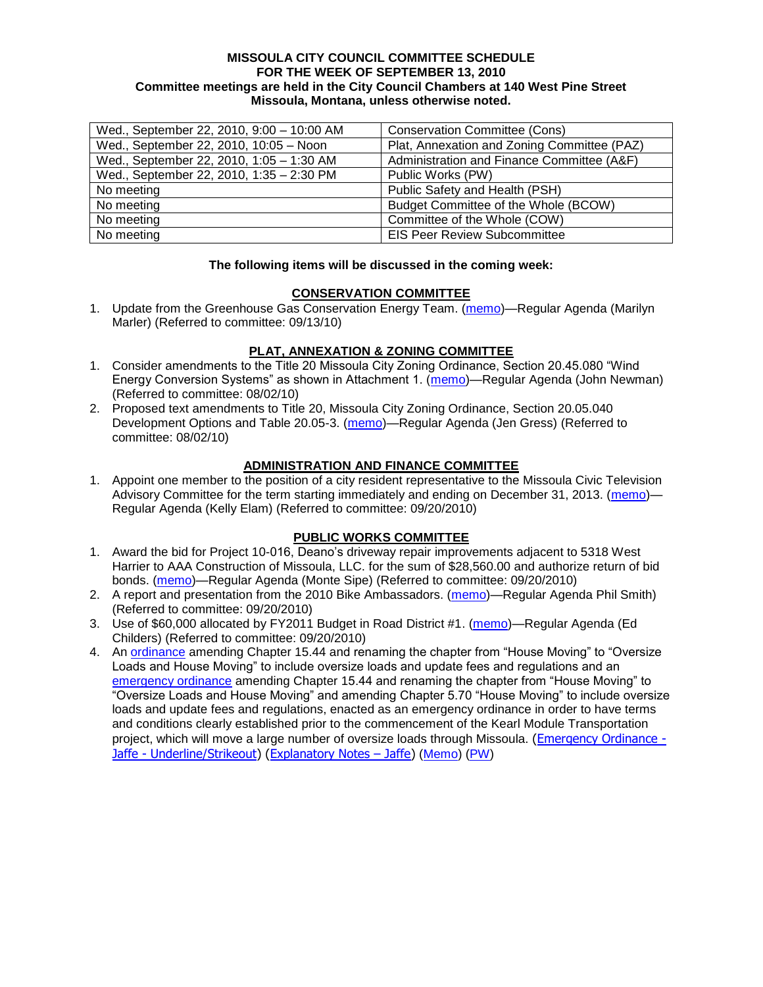#### **MISSOULA CITY COUNCIL COMMITTEE SCHEDULE FOR THE WEEK OF SEPTEMBER 13, 2010 Committee meetings are held in the City Council Chambers at 140 West Pine Street Missoula, Montana, unless otherwise noted.**

| Wed., September 22, 2010, 9:00 - 10:00 AM | <b>Conservation Committee (Cons)</b>        |
|-------------------------------------------|---------------------------------------------|
| Wed., September 22, 2010, 10:05 - Noon    | Plat, Annexation and Zoning Committee (PAZ) |
| Wed., September 22, 2010, 1:05 - 1:30 AM  | Administration and Finance Committee (A&F)  |
| Wed., September 22, 2010, 1:35 - 2:30 PM  | Public Works (PW)                           |
| No meeting                                | Public Safety and Health (PSH)              |
| No meeting                                | Budget Committee of the Whole (BCOW)        |
| No meeting                                | Committee of the Whole (COW)                |
| No meeting                                | <b>EIS Peer Review Subcommittee</b>         |

#### **The following items will be discussed in the coming week:**

## **CONSERVATION COMMITTEE**

1. Update from the Greenhouse Gas Conservation Energy Team. [\(memo\)](http://www.ci.missoula.mt.us/DocumentView.aspx?DID=4556)—Regular Agenda (Marilyn Marler) (Referred to committee: 09/13/10)

## **PLAT, ANNEXATION & ZONING COMMITTEE**

- 1. Consider amendments to the Title 20 Missoula City Zoning Ordinance, Section 20.45.080 "Wind Energy Conversion Systems‖ as shown in Attachment 1. [\(memo\)](http://www.ci.missoula.mt.us/DocumentView.aspx?DID=4375)—Regular Agenda (John Newman) (Referred to committee: 08/02/10)
- 2. Proposed text amendments to Title 20, Missoula City Zoning Ordinance, Section 20.05.040 Development Options and Table 20.05-3. [\(memo\)](http://www.ci.missoula.mt.us/DocumentView.aspx?DID=4363)—Regular Agenda (Jen Gress) (Referred to committee: 08/02/10)

## **ADMINISTRATION AND FINANCE COMMITTEE**

1. Appoint one member to the position of a city resident representative to the Missoula Civic Television Advisory Committee for the term starting immediately and ending on December 31, 2013. [\(memo\)](http://www.ci.missoula.mt.us/DocumentView.aspx?DID=4588)— Regular Agenda (Kelly Elam) (Referred to committee: 09/20/2010)

## **PUBLIC WORKS COMMITTEE**

- 1. Award the bid for Project 10-016, Deano's driveway repair improvements adjacent to 5318 West Harrier to AAA Construction of Missoula, LLC. for the sum of \$28,560.00 and authorize return of bid bonds. [\(memo\)](http://www.ci.missoula.mt.us/DocumentView.aspx?DID=4587)—Regular Agenda (Monte Sipe) (Referred to committee: 09/20/2010)
- 2. A report and presentation from the 2010 Bike Ambassadors. [\(memo\)](http://www.ci.missoula.mt.us/DocumentView.aspx?DID=4586)—Regular Agenda Phil Smith) (Referred to committee: 09/20/2010)
- 3. Use of \$60,000 allocated by FY2011 Budget in Road District #1. [\(memo\)](http://www.ci.missoula.mt.us/DocumentView.aspx?DID=4589)—Regular Agenda (Ed Childers) (Referred to committee: 09/20/2010)
- 4. An [ordinance](http://www.ci.missoula.mt.us/DocumentView.aspx?DID=4348) amending Chapter 15.44 and renaming the chapter from "House Moving" to "Oversize Loads and House Moving" to include oversize loads and update fees and regulations and an [emergency ordinance](http://www.ci.missoula.mt.us/DocumentView.aspx?DID=4409) amending Chapter 15.44 and renaming the chapter from "House Moving" to "Oversize Loads and House Moving" and amending Chapter 5.70 "House Moving" to include oversize loads and update fees and regulations, enacted as an emergency ordinance in order to have terms and conditions clearly established prior to the commencement of the Kearl Module Transportation project, which will move a large number of oversize loads through Missoula. [\(Emergency Ordinance -](http://www.ci.missoula.mt.us/DocumentView.aspx?DID=4474) Jaffe - [Underline/Strikeout\)](http://www.ci.missoula.mt.us/DocumentView.aspx?DID=4474) [\(Explanatory Notes](http://www.ci.missoula.mt.us/DocumentView.aspx?DID=4476) - Jaffe) [\(Memo\)](http://www.ci.missoula.mt.us/DocumentView.aspx?DID=4362) [\(PW\)](http://www.ci.missoula.mt.us/Archive.aspx?ADID=2800)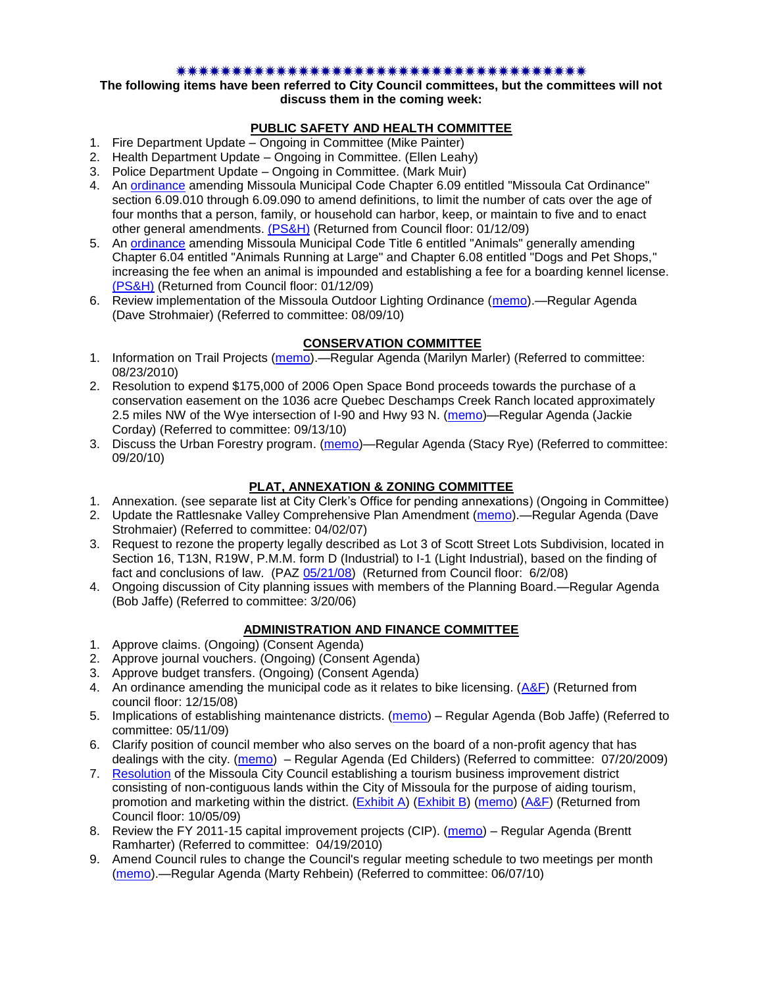#### \*\*\*\*\*\*\*\*\*\*\*\*\*\*\*\*\*\*\*\*\*\*\*\*\*\*\*\*\*\*\*\*

**The following items have been referred to City Council committees, but the committees will not discuss them in the coming week:**

## **PUBLIC SAFETY AND HEALTH COMMITTEE**

- 1. Fire Department Update Ongoing in Committee (Mike Painter)
- 2. Health Department Update Ongoing in Committee. (Ellen Leahy)
- 3. Police Department Update Ongoing in Committee. (Mark Muir)
- 4. An [ordinance](ftp://ftp.ci.missoula.mt.us/Packets/Council/2008/2008-12-15/2008CatOrdinanceAmendment%5B1%5D.pdf) amending Missoula Municipal Code Chapter 6.09 entitled "Missoula Cat Ordinance" section 6.09.010 through 6.09.090 to amend definitions, to limit the number of cats over the age of four months that a person, family, or household can harbor, keep, or maintain to five and to enact other general amendments. [\(PS&H\)](ftp://ftp.ci.missoula.mt.us/Packets/Council/2008/2008-12-15/081210psh.pdf) (Returned from Council floor: 01/12/09)
- 5. An [ordinance](ftp://ftp.ci.missoula.mt.us/Packets/Council/2008/2008-12-15/DogOrdinance--PSHrevisions.pdf) amending Missoula Municipal Code Title 6 entitled "Animals" generally amending Chapter 6.04 entitled "Animals Running at Large" and Chapter 6.08 entitled "Dogs and Pet Shops," increasing the fee when an animal is impounded and establishing a fee for a boarding kennel license. [\(PS&H\)](ftp://ftp.ci.missoula.mt.us/Packets/Council/2008/2008-12-15/081210psh.pdf) (Returned from Council floor: 01/12/09)
- 6. Review implementation of the Missoula Outdoor Lighting Ordinance [\(memo\)](http://www.ci.missoula.mt.us/DocumentView.aspx?DID=4420).—Regular Agenda (Dave Strohmaier) (Referred to committee: 08/09/10)

## **CONSERVATION COMMITTEE**

- 1. Information on Trail Projects [\(memo\)](http://www.ci.missoula.mt.us/DocumentView.aspx?DID=4477).—Regular Agenda (Marilyn Marler) (Referred to committee: 08/23/2010)
- 2. Resolution to expend \$175,000 of 2006 Open Space Bond proceeds towards the purchase of a conservation easement on the 1036 acre Quebec Deschamps Creek Ranch located approximately 2.5 miles NW of the Wye intersection of I-90 and Hwy 93 N. [\(memo\)](http://www.ci.missoula.mt.us/DocumentView.aspx?DID=4555)—Regular Agenda (Jackie Corday) (Referred to committee: 09/13/10)
- 3. Discuss the Urban Forestry program. [\(memo\)](http://www.ci.missoula.mt.us/DocumentView.aspx?DID=4592)—Regular Agenda (Stacy Rye) (Referred to committee: 09/20/10)

## **PLAT, ANNEXATION & ZONING COMMITTEE**

- 1. Annexation. (see separate list at City Clerk's Office for pending annexations) (Ongoing in Committee)
- 2. Update the Rattlesnake Valley Comprehensive Plan Amendment [\(memo\)](ftp://ftp.ci.missoula.mt.us/Packets/Council/2007/2007-04-02/Referrals/Rattlesnake_Plan_Update_referral.pdf).—Regular Agenda (Dave Strohmaier) (Referred to committee: 04/02/07)
- 3. Request to rezone the property legally described as Lot 3 of Scott Street Lots Subdivision, located in Section 16, T13N, R19W, P.M.M. form D (Industrial) to I-1 (Light Industrial), based on the finding of fact and conclusions of law. (PAZ [05/21/08\)](ftp://ftp.ci.missoula.mt.us/Packets/Council/2008/2008-06-02/080521paz.pdf) (Returned from Council floor: 6/2/08)
- 4. Ongoing discussion of City planning issues with members of the Planning Board.—Regular Agenda (Bob Jaffe) (Referred to committee: 3/20/06)

## **ADMINISTRATION AND FINANCE COMMITTEE**

- 1. Approve claims. (Ongoing) (Consent Agenda)
- 2. Approve journal vouchers. (Ongoing) (Consent Agenda)
- 3. Approve budget transfers. (Ongoing) (Consent Agenda)
- 4. An ordinance amending the municipal code as it relates to bike licensing.  $(A\&F)$  (Returned from council floor: 12/15/08)
- 5. Implications of establishing maintenance districts. [\(memo\)](ftp://ftp.ci.missoula.mt.us/Packets/Council/2009/2009-05-11/Referrals/MaintenanceDistricts.pdf) Regular Agenda (Bob Jaffe) (Referred to committee: 05/11/09)
- 6. Clarify position of council member who also serves on the board of a non-profit agency that has dealings with the city. [\(memo\)](http://www.ci.missoula.mt.us/DocumentView.aspx?DID=1840) – Regular Agenda (Ed Childers) (Referred to committee: 07/20/2009)
- 7. [Resolution](http://www.ci.missoula.mt.us/DocumentView.aspx?DID=2373) of the Missoula City Council establishing a tourism business improvement district consisting of non-contiguous lands within the City of Missoula for the purpose of aiding tourism, promotion and marketing within the district. [\(Exhibit A\)](http://www.ci.missoula.mt.us/DocumentView.aspx?DID=2090) [\(Exhibit B\)](http://www.ci.missoula.mt.us/DocumentView.aspx?DID=2374) [\(memo\)](http://www.ci.missoula.mt.us/DocumentView.aspx?DID=2097) [\(A&F\)](http://www.ci.missoula.mt.us/Archive.aspx?ADID=1172) (Returned from Council floor: 10/05/09)
- 8. Review the FY 2011-15 capital improvement projects (CIP). [\(memo\)](http://www.ci.missoula.mt.us/DocumentView.aspx?DID=3522) Regular Agenda (Brentt Ramharter) (Referred to committee: 04/19/2010)
- 9. Amend Council rules to change the Council's regular meeting schedule to two meetings per month [\(memo\)](http://www.ci.missoula.mt.us/DocumentView.aspx?DID=4027).—Regular Agenda (Marty Rehbein) (Referred to committee: 06/07/10)